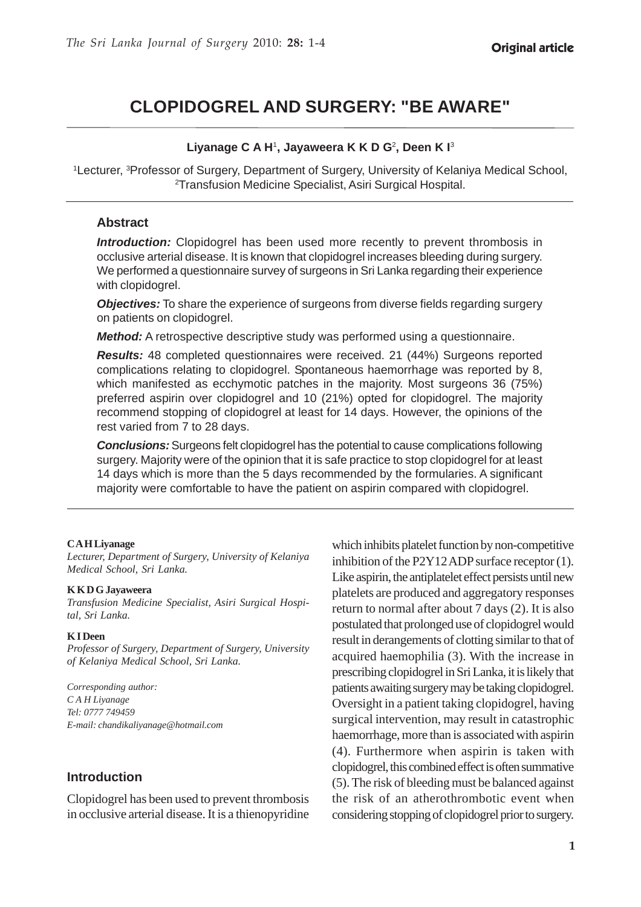# **CLOPIDOGREL AND SURGERY: "BE AWARE"**

#### **Liyanage C A H**1**, Jayaweera K K D G**2**, Deen K I**<sup>3</sup>

<sup>1</sup> Lecturer, <sup>3</sup> Professor of Surgery, Department of Surgery, University of Kelaniya Medical School, 2 Transfusion Medicine Specialist, Asiri Surgical Hospital.

### **Abstract**

*Introduction:* Clopidogrel has been used more recently to prevent thrombosis in occlusive arterial disease. It is known that clopidogrel increases bleeding during surgery. We performed a questionnaire survey of surgeons in Sri Lanka regarding their experience with clopidogrel.

*Objectives:* To share the experience of surgeons from diverse fields regarding surgery on patients on clopidogrel.

*Method:* A retrospective descriptive study was performed using a questionnaire.

*Results:* 48 completed questionnaires were received. 21 (44%) Surgeons reported complications relating to clopidogrel. Spontaneous haemorrhage was reported by 8, which manifested as ecchymotic patches in the majority. Most surgeons 36 (75%) preferred aspirin over clopidogrel and 10 (21%) opted for clopidogrel. The majority recommend stopping of clopidogrel at least for 14 days. However, the opinions of the rest varied from 7 to 28 days.

*Conclusions:* Surgeons felt clopidogrel has the potential to cause complications following surgery. Majority were of the opinion that it is safe practice to stop clopidogrel for at least 14 days which is more than the 5 days recommended by the formularies. A significant majority were comfortable to have the patient on aspirin compared with clopidogrel.

#### **C A H Liyanage**

*Lecturer, Department of Surgery, University of Kelaniya Medical School, Sri Lanka.*

#### **K K D G Jayaweera**

*Transfusion Medicine Specialist, Asiri Surgical Hospital, Sri Lanka.*

#### **K I Deen**

*Professor of Surgery, Department of Surgery, University of Kelaniya Medical School, Sri Lanka.*

*Corresponding author: C A H Liyanage Tel: 0777 749459 E-mail: chandikaliyanage@hotmail.com*

### **Introduction**

Clopidogrel has been used to prevent thrombosis in occlusive arterial disease. It is a thienopyridine

which inhibits platelet function by non-competitive inhibition of the P2Y12 ADP surface receptor (1). Like aspirin, the antiplatelet effect persists until new platelets are produced and aggregatory responses return to normal after about 7 days (2). It is also postulated that prolonged use of clopidogrel would result in derangements of clotting similar to that of acquired haemophilia (3). With the increase in prescribing clopidogrel in Sri Lanka, it is likely that patients awaiting surgery may be taking clopidogrel. Oversight in a patient taking clopidogrel, having surgical intervention, may result in catastrophic haemorrhage, more than is associated with aspirin (4). Furthermore when aspirin is taken with clopidogrel, this combined effect is often summative (5). The risk of bleeding must be balanced against the risk of an atherothrombotic event when considering stopping of clopidogrel prior to surgery.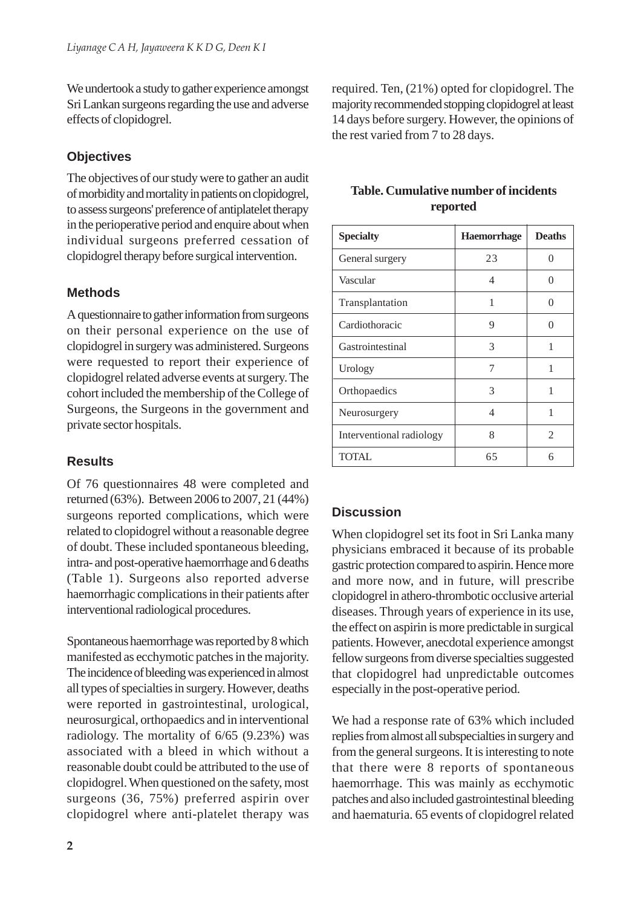We undertook a study to gather experience amongst Sri Lankan surgeons regarding the use and adverse effects of clopidogrel.

## **Objectives**

The objectives of our study were to gather an audit of morbidity and mortality in patients on clopidogrel, to assess surgeons' preference of antiplatelet therapy in the perioperative period and enquire about when individual surgeons preferred cessation of clopidogrel therapy before surgical intervention.

## **Methods**

A questionnaire to gather information from surgeons on their personal experience on the use of clopidogrel in surgery was administered. Surgeons were requested to report their experience of clopidogrel related adverse events at surgery. The cohort included the membership of the College of Surgeons, the Surgeons in the government and private sector hospitals.

## **Results**

Of 76 questionnaires 48 were completed and returned (63%). Between 2006 to 2007, 21 (44%) surgeons reported complications, which were related to clopidogrel without a reasonable degree of doubt. These included spontaneous bleeding, intra- and post-operative haemorrhage and 6 deaths (Table 1). Surgeons also reported adverse haemorrhagic complications in their patients after interventional radiological procedures.

Spontaneous haemorrhage was reported by 8 which manifested as ecchymotic patches in the majority. The incidence of bleeding was experienced in almost all types of specialties in surgery. However, deaths were reported in gastrointestinal, urological, neurosurgical, orthopaedics and in interventional radiology. The mortality of 6/65 (9.23%) was associated with a bleed in which without a reasonable doubt could be attributed to the use of clopidogrel. When questioned on the safety, most surgeons (36, 75%) preferred aspirin over clopidogrel where anti-platelet therapy was

required. Ten, (21%) opted for clopidogrel. The majority recommended stopping clopidogrel at least 14 days before surgery. However, the opinions of the rest varied from 7 to 28 days.

| <b>Specialty</b>         | <b>Haemorrhage</b> | <b>Deaths</b>     |
|--------------------------|--------------------|-------------------|
| General surgery          | 23                 | $\mathcal{O}$     |
| Vascular                 | 4                  | $\mathbf{\Omega}$ |
| Transplantation          | 1                  | 0                 |
| Cardiothoracic           | 9                  | $\mathbf{\Omega}$ |
| Gastrointestinal         | 3                  | 1                 |
| Urology                  | 7                  | 1                 |
| Orthopaedics             | 3                  | 1                 |
| Neurosurgery             | 4                  | 1                 |
| Interventional radiology | 8                  | 2                 |
| <b>TOTAL</b>             | 65                 | 6                 |

## **Table. Cumulative number of incidents reported**

# **Discussion**

When clopidogrel set its foot in Sri Lanka many physicians embraced it because of its probable gastric protection compared to aspirin. Hence more and more now, and in future, will prescribe clopidogrel in athero-thrombotic occlusive arterial diseases. Through years of experience in its use, the effect on aspirin is more predictable in surgical patients. However, anecdotal experience amongst fellow surgeons from diverse specialties suggested that clopidogrel had unpredictable outcomes especially in the post-operative period.

We had a response rate of 63% which included replies from almost all subspecialties in surgery and from the general surgeons. It is interesting to note that there were 8 reports of spontaneous haemorrhage. This was mainly as ecchymotic patches and also included gastrointestinal bleeding and haematuria. 65 events of clopidogrel related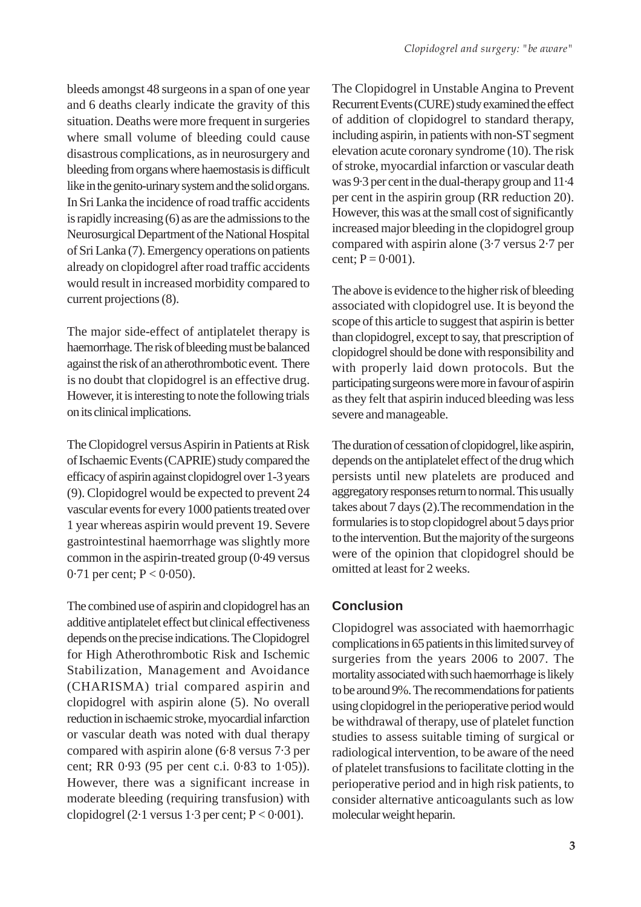bleeds amongst 48 surgeons in a span of one year and 6 deaths clearly indicate the gravity of this situation. Deaths were more frequent in surgeries where small volume of bleeding could cause disastrous complications, as in neurosurgery and bleeding from organs where haemostasis is difficult like in the genito-urinary system and the solid organs. In Sri Lanka the incidence of road traffic accidents is rapidly increasing (6) as are the admissions to the Neurosurgical Department of the National Hospital of Sri Lanka (7). Emergency operations on patients already on clopidogrel after road traffic accidents would result in increased morbidity compared to current projections (8).

The major side-effect of antiplatelet therapy is haemorrhage. The risk of bleeding must be balanced against the risk of an atherothrombotic event. There is no doubt that clopidogrel is an effective drug. However, it is interesting to note the following trials on its clinical implications.

The Clopidogrel versus Aspirin in Patients at Risk of Ischaemic Events (CAPRIE) study compared the efficacy of aspirin against clopidogrel over 1-3 years (9). Clopidogrel would be expected to prevent 24 vascular events for every 1000 patients treated over 1 year whereas aspirin would prevent 19. Severe gastrointestinal haemorrhage was slightly more common in the aspirin-treated group (0·49 versus 0.71 per cent;  $P < 0.050$ ).

The combined use of aspirin and clopidogrel has an additive antiplatelet effect but clinical effectiveness depends on the precise indications. The Clopidogrel for High Atherothrombotic Risk and Ischemic Stabilization, Management and Avoidance (CHARISMA) trial compared aspirin and clopidogrel with aspirin alone (5). No overall reduction in ischaemic stroke, myocardial infarction or vascular death was noted with dual therapy compared with aspirin alone (6·8 versus 7·3 per cent; RR 0·93 (95 per cent c.i. 0·83 to 1·05)). However, there was a significant increase in moderate bleeding (requiring transfusion) with clopidogrel  $(2.1 \text{ versus } 1.3 \text{ per cent}; P < 0.001)$ .

The Clopidogrel in Unstable Angina to Prevent Recurrent Events (CURE) study examined the effect of addition of clopidogrel to standard therapy, including aspirin, in patients with non-ST segment elevation acute coronary syndrome (10). The risk of stroke, myocardial infarction or vascular death was 9·3 per cent in the dual-therapy group and 11·4 per cent in the aspirin group (RR reduction 20). However, this was at the small cost of significantly increased major bleeding in the clopidogrel group compared with aspirin alone (3·7 versus 2·7 per cent;  $P = 0.001$ ).

The above is evidence to the higher risk of bleeding associated with clopidogrel use. It is beyond the scope of this article to suggest that aspirin is better than clopidogrel, except to say, that prescription of clopidogrel should be done with responsibility and with properly laid down protocols. But the participating surgeons were more in favour of aspirin as they felt that aspirin induced bleeding was less severe and manageable.

The duration of cessation of clopidogrel, like aspirin, depends on the antiplatelet effect of the drug which persists until new platelets are produced and aggregatory responses return to normal. This usually takes about 7 days (2).The recommendation in the formularies is to stop clopidogrel about 5 days prior to the intervention. But the majority of the surgeons were of the opinion that clopidogrel should be omitted at least for 2 weeks.

### **Conclusion**

Clopidogrel was associated with haemorrhagic complications in 65 patients in this limited survey of surgeries from the years 2006 to 2007. The mortality associated with such haemorrhage is likely to be around 9%. The recommendations for patients using clopidogrel in the perioperative period would be withdrawal of therapy, use of platelet function studies to assess suitable timing of surgical or radiological intervention, to be aware of the need of platelet transfusions to facilitate clotting in the perioperative period and in high risk patients, to consider alternative anticoagulants such as low molecular weight heparin.